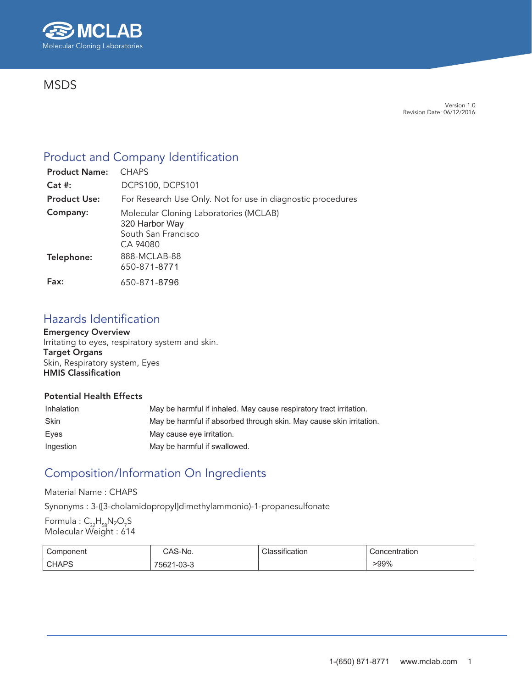

# **MSDS**

Version 1.0 Revision Date: 06/12/2016

# Product and Company Identification

| <b>Product Name:</b> | <b>CHAPS</b>                                                                                |
|----------------------|---------------------------------------------------------------------------------------------|
| $Cat$ #:             | <b>DCPS100, DCPS101</b>                                                                     |
| <b>Product Use:</b>  | For Research Use Only. Not for use in diagnostic procedures                                 |
| Company:             | Molecular Cloning Laboratories (MCLAB)<br>320 Harbor Way<br>South San Francisco<br>CA 94080 |
| Telephone:           | 888-MCLAB-88<br>650-871-8771                                                                |
| Fax:                 | 650-871-8796                                                                                |

# Hazards Identification

Emergency Overview Irritating to eyes, respiratory system and skin.

Target Organs Skin, Respiratory system, Eyes HMIS Classification

## Potential Health Effects

| Inhalation | May be harmful if inhaled. May cause respiratory tract irritation.  |
|------------|---------------------------------------------------------------------|
| Skin       | May be harmful if absorbed through skin. May cause skin irritation. |
| Eves       | May cause eye irritation.                                           |
| Ingestion  | May be harmful if swallowed.                                        |

# Composition/Information On Ingredients

### Material Name : CHAPS

Synonyms : 3-([3-cholamidopropyl]dimethylammonio)-1-propanesulfonate

Formula :  $\mathsf{C}_{\mathsf{32}}\mathsf{H}_{\mathsf{58}}\mathsf{N}_\mathsf{2}\mathsf{O}_\mathsf{7}\mathsf{S}$ Molecular Weight : 614

| Component              | - 71<br>AS-No.           | cauon<br>ыш | Concentration |
|------------------------|--------------------------|-------------|---------------|
| <b>CHAPS</b><br>$\sim$ | $\sim$<br>56Z<br>. -up-u |             | -99%          |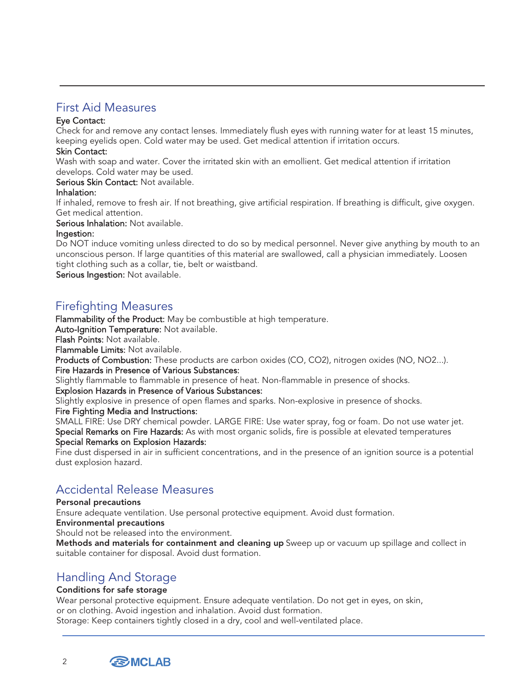## First Aid Measures

### Eye Contact:

Check for and remove any contact lenses. Immediately flush eyes with running water for at least 15 minutes, keeping eyelids open. Cold water may be used. Get medical attention if irritation occurs.

### Skin Contact:

Wash with soap and water. Cover the irritated skin with an emollient. Get medical attention if irritation develops. Cold water may be used.

Serious Skin Contact: Not available.

### Inhalation:

If inhaled, remove to fresh air. If not breathing, give artificial respiration. If breathing is difficult, give oxygen. Get medical attention.

Serious Inhalation: Not available.

### Ingestion:

Do NOT induce vomiting unless directed to do so by medical personnel. Never give anything by mouth to an unconscious person. If large quantities of this material are swallowed, call a physician immediately. Loosen tight clothing such as a collar, tie, belt or waistband.

Serious Ingestion: Not available.

## Firefighting Measures

Flammability of the Product: May be combustible at high temperature.

Auto-Ignition Temperature: Not available.

Flash Points: Not available.

Flammable Limits: Not available.

Products of Combustion: These products are carbon oxides (CO, CO2), nitrogen oxides (NO, NO2...). Fire Hazards in Presence of Various Substances:

Slightly flammable to flammable in presence of heat. Non-flammable in presence of shocks.

### Explosion Hazards in Presence of Various Substances:

Slightly explosive in presence of open flames and sparks. Non-explosive in presence of shocks.

### Fire Fighting Media and Instructions:

SMALL FIRE: Use DRY chemical powder. LARGE FIRE: Use water spray, fog or foam. Do not use water jet. Special Remarks on Fire Hazards: As with most organic solids, fire is possible at elevated temperatures Special Remarks on Explosion Hazards:

Fine dust dispersed in air in sufficient concentrations, and in the presence of an ignition source is a potential dust explosion hazard.

# Accidental Release Measures

### Personal precautions

Ensure adequate ventilation. Use personal protective equipment. Avoid dust formation.

Environmental precautions

Should not be released into the environment.

Methods and materials for containment and cleaning up Sweep up or vacuum up spillage and collect in suitable container for disposal. Avoid dust formation.

## Handling And Storage

### Conditions for safe storage

Wear personal protective equipment. Ensure adequate ventilation. Do not get in eyes, on skin, or on clothing. Avoid ingestion and inhalation. Avoid dust formation. Storage: Keep containers tightly closed in a dry, cool and well-ventilated place.

**BMCLAB** 

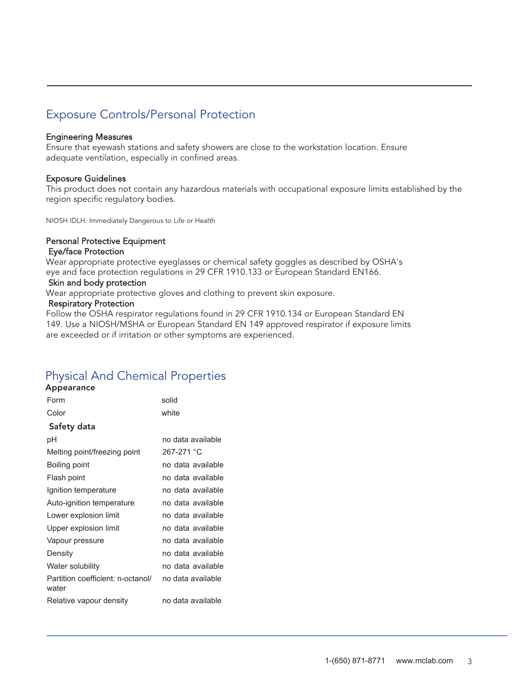# Exposure Controls/Personal Protection

#### Engineering Measures

Ensure that eyewash stations and safety showers are close to the workstation location. Ensure adequate ventilation, especially in confined areas.

### Exposure Guidelines

This product does not contain any hazardous materials with occupational exposure limits established by the region specific regulatory bodies.

NIOSH IDLH: Immediately Dangerous to Life or Health

#### Personal Protective Equipment Eye/face Protection

Wear appropriate protective eyeglasses or chemical safety goggles as described by OSHA's eye and face protection regulations in 29 CFR 1910.133 or European Standard EN166.

### Skin and body protection

Wear appropriate protective gloves and clothing to prevent skin exposure.

#### Respiratory Protection

Follow the OSHA respirator regulations found in 29 CFR 1910.134 or European Standard EN 149. Use a NIOSH/MSHA or European Standard EN 149 approved respirator if exposure limits are exceeded or if irritation or other symptoms are experienced.

# Physical And Chemical Properties

| <b>Appearance</b>                          |                   |
|--------------------------------------------|-------------------|
| Form                                       | solid             |
| Color                                      | white             |
| Safety data                                |                   |
| рH                                         | no data available |
| Melting point/freezing point               | 267-271 °C        |
| Boiling point                              | no data available |
| Flash point                                | no data available |
| Ignition temperature                       | no data available |
| Auto-ignition temperature                  | no data available |
| Lower explosion limit                      | no data available |
| Upper explosion limit                      | no data available |
| Vapour pressure                            | no data available |
| Density                                    | no data available |
| Water solubility                           | no data available |
| Partition coefficient: n-octanol/<br>water | no data available |
| Relative vapour density                    | no data available |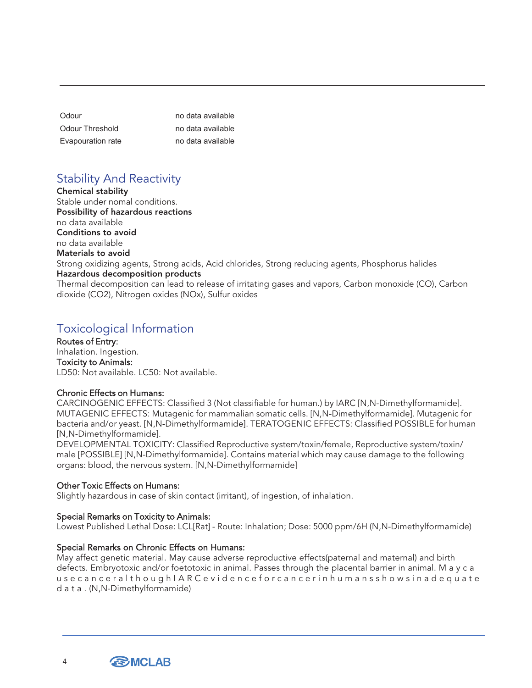| Odour             | no data available |
|-------------------|-------------------|
| Odour Threshold   | no data available |
| Evapouration rate | no data available |

# Stability And Reactivity

Chemical stability Stable under nomal conditions. Possibility of hazardous reactions no data available Conditions to avoid no data available Materials to avoid Strong oxidizing agents, Strong acids, Acid chlorides, Strong reducing agents, Phosphorus halides Hazardous decomposition products Thermal decomposition can lead to release of irritating gases and vapors, Carbon monoxide (CO), Carbon dioxide (CO2), Nitrogen oxides (NOx), Sulfur oxides

# Toxicological Information

Routes of Entry: Inhalation. Ingestion. Toxicity to Animals: LD50: Not available. LC50: Not available.

### Chronic Effects on Humans:

CARCINOGENIC EFFECTS: Classified 3 (Not classifiable for human.) by IARC [N,N-Dimethylformamide]. MUTAGENIC EFFECTS: Mutagenic for mammalian somatic cells. [N,N-Dimethylformamide]. Mutagenic for bacteria and/or yeast. [N,N-Dimethylformamide]. TERATOGENIC EFFECTS: Classified POSSIBLE for human [N,N-Dimethylformamide].

DEVELOPMENTAL TOXICITY: Classified Reproductive system/toxin/female, Reproductive system/toxin/ male [POSSIBLE] [N,N-Dimethylformamide]. Contains material which may cause damage to the following organs: blood, the nervous system. [N,N-Dimethylformamide]

## Other Toxic Effects on Humans:

Slightly hazardous in case of skin contact (irritant), of ingestion, of inhalation.

## Special Remarks on Toxicity to Animals:

Lowest Published Lethal Dose: LCL[Rat] - Route: Inhalation; Dose: 5000 ppm/6H (N,N-Dimethylformamide)

### Special Remarks on Chronic Effects on Humans:

May affect genetic material. May cause adverse reproductive effects(paternal and maternal) and birth defects. Embryotoxic and/or foetotoxic in animal. Passes through the placental barrier in animal. M a y c a u s e c a n c e r a l t h o u g h I A R C e v i d e n c e f o r c a n c e r i n h u m a n s s h o w s i n a d e q u a t e d a t a . (N,N-Dimethylformamide)

**BMCLAB** 

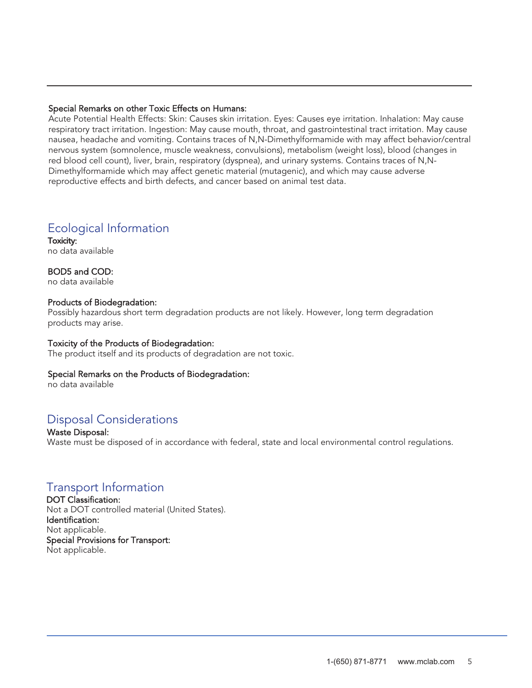### Special Remarks on other Toxic Effects on Humans:

Acute Potential Health Effects: Skin: Causes skin irritation. Eyes: Causes eye irritation. Inhalation: May cause respiratory tract irritation. Ingestion: May cause mouth, throat, and gastrointestinal tract irritation. May cause nausea, headache and vomiting. Contains traces of N,N-Dimethylformamide with may affect behavior/central nervous system (somnolence, muscle weakness, convulsions), metabolism (weight loss), blood (changes in red blood cell count), liver, brain, respiratory (dyspnea), and urinary systems. Contains traces of N,N-Dimethylformamide which may affect genetic material (mutagenic), and which may cause adverse reproductive effects and birth defects, and cancer based on animal test data.

## Ecological Information

Toxicity: no data available

BOD5 and COD: no data available

### Products of Biodegradation:

Possibly hazardous short term degradation products are not likely. However, long term degradation products may arise.

### Toxicity of the Products of Biodegradation:

The product itself and its products of degradation are not toxic.

### Special Remarks on the Products of Biodegradation:

no data available

# Disposal Considerations

Waste Disposal: Waste must be disposed of in accordance with federal, state and local environmental control regulations.

## Transport Information

DOT Classification: Not a DOT controlled material (United States). Identification: Not applicable. Special Provisions for Transport: Not applicable.